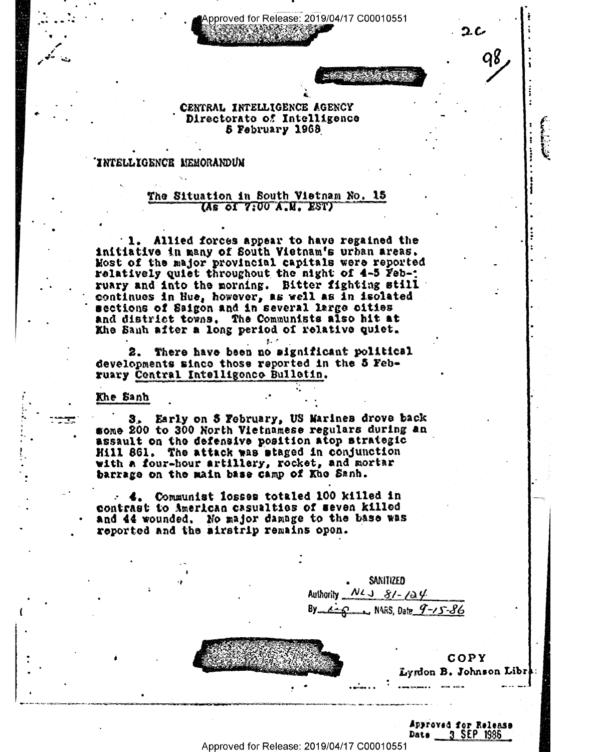Approved for Release: 2019/04/17 C00010551

ユム

# CENTRAL INTELLIGENCE AGENCY Directorato of Intelligence 5 February 1968

#### INTELLIGENCE MEMORANDUM

# The Situation in South Vietnam No. 15 (As of 7:00 A.M. EST)

1. Allied forces appear to have regained the initiative in many of South Vietnam's urban areas. Most of the major provincial capitals were reported relatively quiet throughout the night of 4-5 Feb-; ruary and into the morning. Bitter fighting still continues in Hue, however, as well as in isolated sections of Saigon and in several large cities and district towns. The Communists also hit at Khe Sauh after a long period of relative quiet.

2. There have been no significant political developments sinco those reported in the 5 February Central Intelligence Bulletin.

훬..

#### Khe Sanh

3. Early on 5 February, US Marines drove back some 200 to 300 North Vietnamese regulars during an assault on the defensive position atop strategic Hill 861. The attack was staged in conjunction with a four-hour artillery, rocket, and mortar barrage on the main base camp of Kho Sanh.

- 4. Communist losses totaled 100 killed in contrast to American casualties of seven killed and 44 wounded. No major damage to the base was reported and the airstrip remains open.

SANITIZED Authority  $N\lambda \rightarrow 8/4/2$  $4 - 8$  N4RS, Date  $9 - 15 - 86$ 



COPY Lyrdon B. Johnson Libr

Approved for Releass 3 SEP 1986 Date

Approved for Release: 2019/04/17 C00010551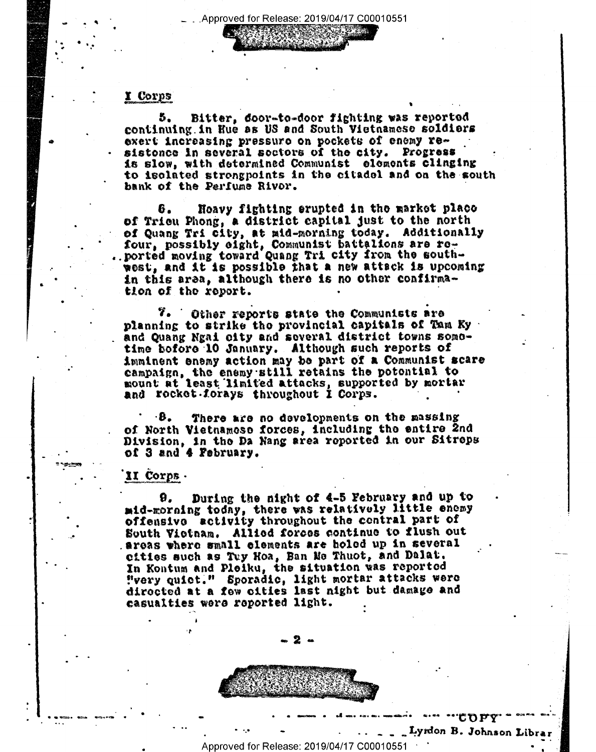## I Corps

Bitter, door-to-door fighting was reported 5. continuing in Hue as US and South Victnamese soldiers exert increasing pressuro on pockets of enemy resistonce in several soctors of the city. Progress is slow, with determined Communist elements clinging to isolated strongpoints in the citadel and on the south bank of the Perfume Rivor.

Hoavy fighting erupted in the market place 6. of Trieu Phong, a district capital just to the north of Quang Tri city, at mid-morning today. Additionally four, possibly eight, Communist battalions are re-<br>ported moving toward Quang Tri city from the southwest, and it is possible that a new attack is upcoming in this area, although there is no other confirmation of the report.

7. Other reports state the Communists are planning to strike the provincial capitals of Tam Ky and Quang Ngai city and several district towns sometime bofore 10 January. Although such reports of imminent enemy action may be part of a Communist scare<br>campaign, the enemy still retains the potential to mount at least limited attacks, supported by mortar and rocket forays throughout I Corps.

There are no developments on the massing ٠В. of North Vietnamese forces, including the entire 2nd Division, in the Da Nang area reported in our Sitreps of 3 and 4 February.

## II Corps.

During the night of 4-5 February and up to 9. mid-morning today, there was relatively little enemy offensive ectivity throughout the contral part of South Vietnam. Allied forces continue to flush out areas where small elements are holed up in several cities such as Tuy Hoa, Ban Me Thuot, and Dalat. In Kontum and Pleiku, the situation was reported "very quict." Sporadic, light mortar attacks were directed at a few cities last night but damage and casualties were reported light.



Approved for Release: 2019/04/17 C00010551

**COPY** Lyndon B. Johnson Librar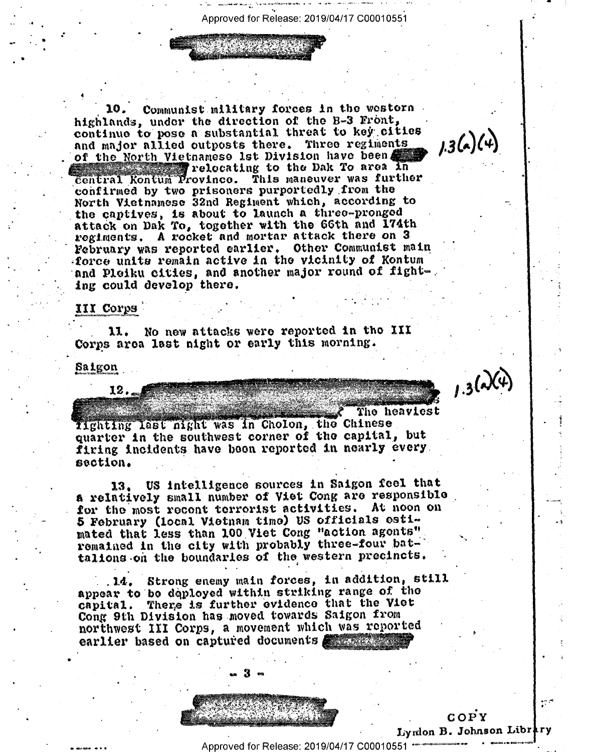Approved for Release: 2019/04/17 C00010551

Communist military forces in the western highlands, under the direction of the B-3 Front, continue to pose a substantial threat to key cities  $1.3(4)(4)$ and major allied outposts there. Three regiments of the North Vietnamese 1st Division have been relocating to the Dak To area in central Kontum Province. This maneuver was further confirmed by two prisoners purportedly from the North Vietnamese 32nd Regiment which, according to the captives, is about to launch a three-pronged attack on Dak To, together with the 66th and 174th regiments. A rocket and mortar attack there on 3 February was reported earlier. Other Communist main force units remain active in the vicinity of Kontum and Pleiku cities, and another major round of fighting could develop there.

#### III Corps

No new attacks were reported in the III 11. Corps area last night or early this morning.

Saigon

 $12.$ 

 $1.3(4)(4)$ 

The heaviest Iighting last night was in Cholon, the Chinese quarter in the southwest corner of the capital, but firing incidents have boon reported in nearly every. section.

US intelligence sources in Saigon feel that a relatively small number of Viet Cong are responsible for the most recent terrorist activities. At noon on 5 February (local Vietnam time) US officials estimated that less than 100 Viet Cong "action agonts" remained in the city with probably three-four battalions on the boundaries of the western precincts.

Strong enemy main forces, in addition, still . 14. appear to be deployed within striking range of the capital. There is further evidence that the Viet Cong 9th Division has moved towards Saigon from northwest III Corps, a movement which was reported earlier based on captured documents **All Advances** 



 $COPY$ Lyndon B. Johnson Library

يمارية

Approved for Release: 2019/04/17 C00010551